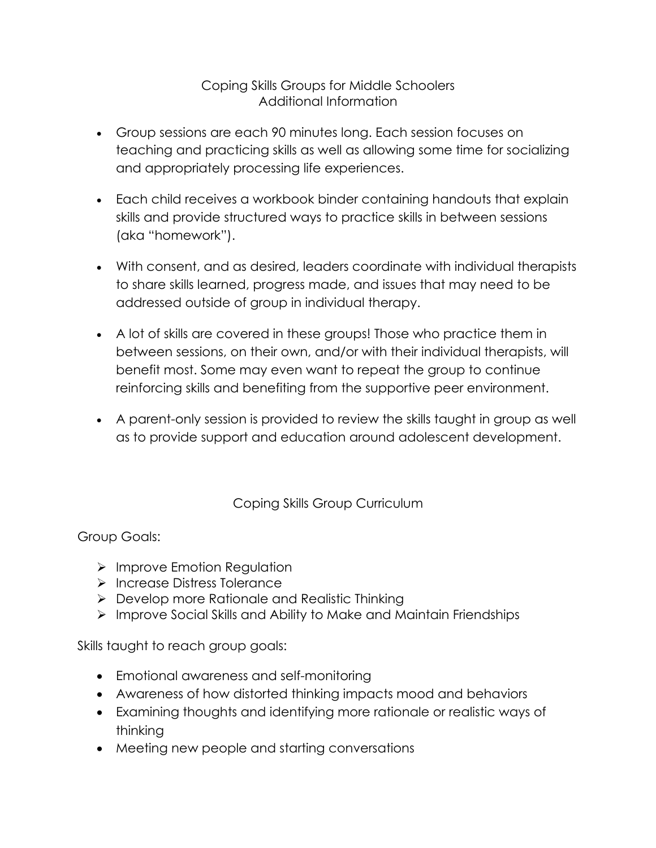## Coping Skills Groups for Middle Schoolers Additional Information

- Group sessions are each 90 minutes long. Each session focuses on teaching and practicing skills as well as allowing some time for socializing and appropriately processing life experiences.
- Each child receives a workbook binder containing handouts that explain skills and provide structured ways to practice skills in between sessions (aka "homework").
- With consent, and as desired, leaders coordinate with individual therapists to share skills learned, progress made, and issues that may need to be addressed outside of group in individual therapy.
- A lot of skills are covered in these groups! Those who practice them in between sessions, on their own, and/or with their individual therapists, will benefit most. Some may even want to repeat the group to continue reinforcing skills and benefiting from the supportive peer environment.
- A parent-only session is provided to review the skills taught in group as well as to provide support and education around adolescent development.

Coping Skills Group Curriculum

Group Goals:

- $\triangleright$  Improve Emotion Regulation
- Ø Increase Distress Tolerance
- $\triangleright$  Develop more Rationale and Realistic Thinking
- Ø Improve Social Skills and Ability to Make and Maintain Friendships

Skills taught to reach group goals:

- Emotional awareness and self-monitoring
- Awareness of how distorted thinking impacts mood and behaviors
- Examining thoughts and identifying more rationale or realistic ways of thinking
- Meeting new people and starting conversations